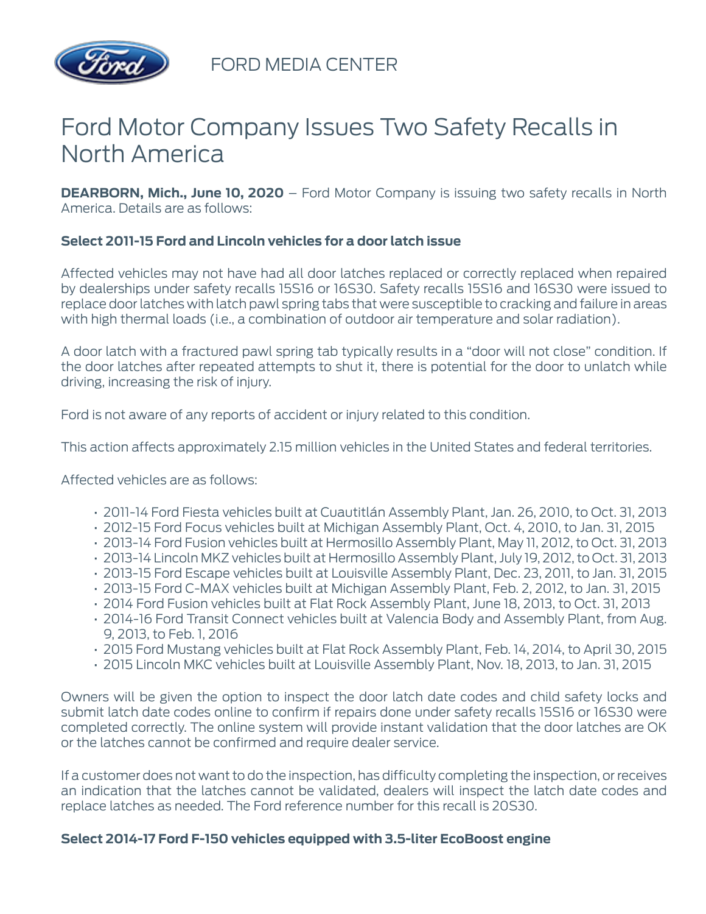

FORD MEDIA CENTER

## Ford Motor Company Issues Two Safety Recalls in North America

**DEARBORN, Mich., June 10, 2020** – Ford Motor Company is issuing two safety recalls in North America. Details are as follows:

## **Select 2011-15 Ford and Lincoln vehicles for a door latch issue**

Affected vehicles may not have had all door latches replaced or correctly replaced when repaired by dealerships under safety recalls 15S16 or 16S30. Safety recalls 15S16 and 16S30 were issued to replace door latches with latch pawl spring tabs that were susceptible to cracking and failure in areas with high thermal loads (i.e., a combination of outdoor air temperature and solar radiation).

A door latch with a fractured pawl spring tab typically results in a "door will not close" condition. If the door latches after repeated attempts to shut it, there is potential for the door to unlatch while driving, increasing the risk of injury.

Ford is not aware of any reports of accident or injury related to this condition.

This action affects approximately 2.15 million vehicles in the United States and federal territories.

Affected vehicles are as follows:

- 2011-14 Ford Fiesta vehicles built at Cuautitlán Assembly Plant, Jan. 26, 2010, to Oct. 31, 2013
- 2012-15 Ford Focus vehicles built at Michigan Assembly Plant, Oct. 4, 2010, to Jan. 31, 2015
- 2013-14 Ford Fusion vehicles built at Hermosillo Assembly Plant, May 11, 2012, to Oct. 31, 2013
- 2013-14 Lincoln MKZ vehicles built at Hermosillo Assembly Plant, July 19, 2012, to Oct. 31, 2013
- 2013-15 Ford Escape vehicles built at Louisville Assembly Plant, Dec. 23, 2011, to Jan. 31, 2015
- 2013-15 Ford C-MAX vehicles built at Michigan Assembly Plant, Feb. 2, 2012, to Jan. 31, 2015
- 2014 Ford Fusion vehicles built at Flat Rock Assembly Plant, June 18, 2013, to Oct. 31, 2013
- 2014-16 Ford Transit Connect vehicles built at Valencia Body and Assembly Plant, from Aug. 9, 2013, to Feb. 1, 2016
- 2015 Ford Mustang vehicles built at Flat Rock Assembly Plant, Feb. 14, 2014, to April 30, 2015
- 2015 Lincoln MKC vehicles built at Louisville Assembly Plant, Nov. 18, 2013, to Jan. 31, 2015

Owners will be given the option to inspect the door latch date codes and child safety locks and submit latch date codes online to confirm if repairs done under safety recalls 15S16 or 16S30 were completed correctly. The online system will provide instant validation that the door latches are OK or the latches cannot be confirmed and require dealer service.

If a customer does not want to do the inspection, has difficulty completing the inspection, or receives an indication that the latches cannot be validated, dealers will inspect the latch date codes and replace latches as needed. The Ford reference number for this recall is 20S30.

## **Select 2014-17 Ford F-150 vehicles equipped with 3.5-liter EcoBoost engine**